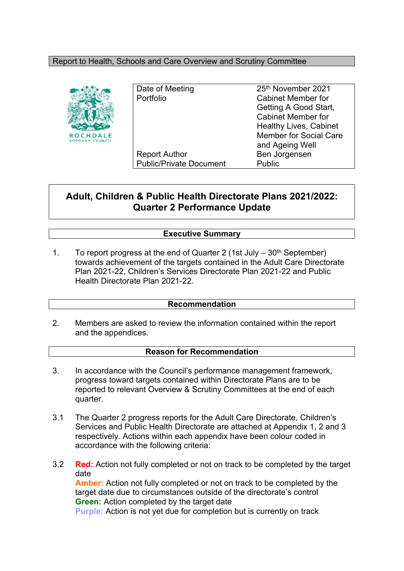## Report to Health, Schools and Care Overview and Scrutiny Committee



Date of Meeting 25<sup>th</sup> November 2021 Portfolio Cabinet Member for Report Author Ben Jorgensen Public/Private Document Public

Getting A Good Start, Cabinet Member for Healthy Lives, Cabinet Member for Social Care and Ageing Well

# **Adult, Children & Public Health Directorate Plans 2021/2022: Quarter 2 Performance Update**

# **Executive Summary**

1. To report progress at the end of Quarter 2 (1st July  $-30<sup>th</sup>$  September) towards achievement of the targets contained in the Adult Care Directorate Plan 2021-22, Children's Services Directorate Plan 2021-22 and Public Health Directorate Plan 2021-22.

#### **Recommendation**

2. Members are asked to review the information contained within the report and the appendices.

#### **Reason for Recommendation**

- 3. In accordance with the Council's performance management framework, progress toward targets contained within Directorate Plans are to be reported to relevant Overview & Scrutiny Committees at the end of each quarter.
- 3.1 The Quarter 2 progress reports for the Adult Care Directorate, Children's Services and Public Health Directorate are attached at Appendix 1, 2 and 3 respectively. Actions within each appendix have been colour coded in accordance with the following criteria:
- 3.2 **Red:** Action not fully completed or not on track to be completed by the target date **Amber:** Action not fully completed or not on track to be completed by the target date due to circumstances outside of the directorate's control **Green:** Action completed by the target date

**Purple:** Action is not yet due for completion but is currently on track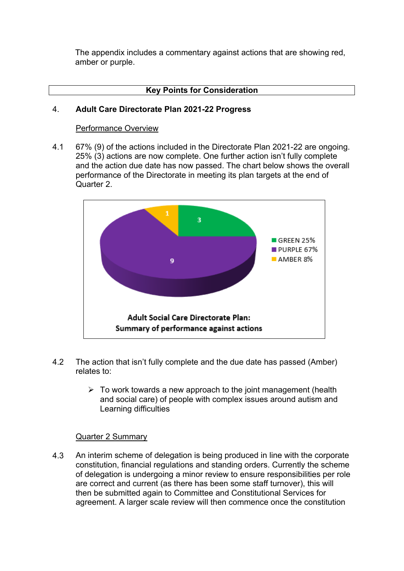The appendix includes a commentary against actions that are showing red, amber or purple.

# **Key Points for Consideration**

#### 4. **Adult Care Directorate Plan 2021-22 Progress**

#### Performance Overview

4.1 67% (9) of the actions included in the Directorate Plan 2021-22 are ongoing. 25% (3) actions are now complete. One further action isn't fully complete and the action due date has now passed. The chart below shows the overall performance of the Directorate in meeting its plan targets at the end of Quarter 2.



- 4.2 The action that isn't fully complete and the due date has passed (Amber) relates to:
	- $\triangleright$  To work towards a new approach to the joint management (health and social care) of people with complex issues around autism and Learning difficulties

## Quarter 2 Summary

4.3 An interim scheme of delegation is being produced in line with the corporate constitution, financial regulations and standing orders. Currently the scheme of delegation is undergoing a minor review to ensure responsibilities per role are correct and current (as there has been some staff turnover), this will then be submitted again to Committee and Constitutional Services for agreement. A larger scale review will then commence once the constitution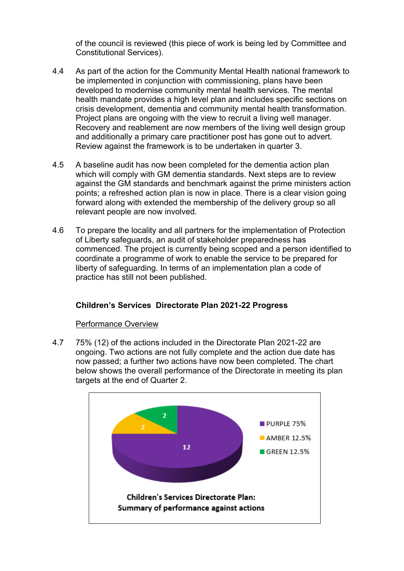of the council is reviewed (this piece of work is being led by Committee and Constitutional Services).

- 4.4 As part of the action for the Community Mental Health national framework to be implemented in conjunction with commissioning, plans have been developed to modernise community mental health services. The mental health mandate provides a high level plan and includes specific sections on crisis development, dementia and community mental health transformation. Project plans are ongoing with the view to recruit a living well manager. Recovery and reablement are now members of the living well design group and additionally a primary care practitioner post has gone out to advert. Review against the framework is to be undertaken in quarter 3.
- 4.5 A baseline audit has now been completed for the dementia action plan which will comply with GM dementia standards. Next steps are to review against the GM standards and benchmark against the prime ministers action points; a refreshed action plan is now in place. There is a clear vision going forward along with extended the membership of the delivery group so all relevant people are now involved.
- 4.6 To prepare the locality and all partners for the implementation of Protection of Liberty safeguards, an audit of stakeholder preparedness has commenced. The project is currently being scoped and a person identified to coordinate a programme of work to enable the service to be prepared for liberty of safeguarding. In terms of an implementation plan a code of practice has still not been published.

# **Children's Services Directorate Plan 2021-22 Progress**

## Performance Overview

4.7 75% (12) of the actions included in the Directorate Plan 2021-22 are ongoing. Two actions are not fully complete and the action due date has now passed; a further two actions have now been completed. The chart below shows the overall performance of the Directorate in meeting its plan targets at the end of Quarter 2.

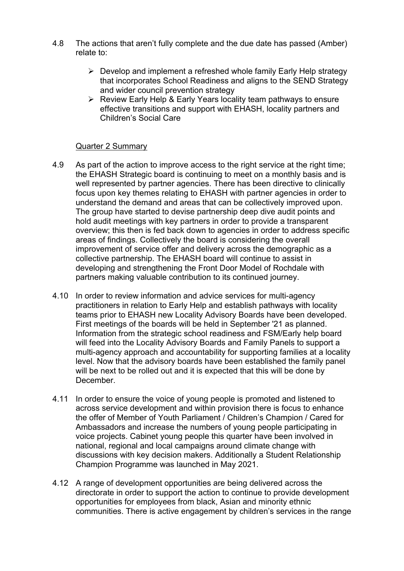- 4.8 The actions that aren't fully complete and the due date has passed (Amber) relate to:
	- $\triangleright$  Develop and implement a refreshed whole family Early Help strategy that incorporates School Readiness and aligns to the SEND Strategy and wider council prevention strategy
	- $\triangleright$  Review Early Help & Early Years locality team pathways to ensure effective transitions and support with EHASH, locality partners and Children's Social Care

## Quarter 2 Summary

- 4.9 As part of the action to improve access to the right service at the right time; the EHASH Strategic board is continuing to meet on a monthly basis and is well represented by partner agencies. There has been directive to clinically focus upon key themes relating to EHASH with partner agencies in order to understand the demand and areas that can be collectively improved upon. The group have started to devise partnership deep dive audit points and hold audit meetings with key partners in order to provide a transparent overview; this then is fed back down to agencies in order to address specific areas of findings. Collectively the board is considering the overall improvement of service offer and delivery across the demographic as a collective partnership. The EHASH board will continue to assist in developing and strengthening the Front Door Model of Rochdale with partners making valuable contribution to its continued journey.
- 4.10 In order to review information and advice services for multi-agency practitioners in relation to Early Help and establish pathways with locality teams prior to EHASH new Locality Advisory Boards have been developed. First meetings of the boards will be held in September '21 as planned. Information from the strategic school readiness and FSM/Early help board will feed into the Locality Advisory Boards and Family Panels to support a multi-agency approach and accountability for supporting families at a locality level. Now that the advisory boards have been established the family panel will be next to be rolled out and it is expected that this will be done by December.
- 4.11 In order to ensure the voice of young people is promoted and listened to across service development and within provision there is focus to enhance the offer of Member of Youth Parliament / Children's Champion / Cared for Ambassadors and increase the numbers of young people participating in voice projects. Cabinet young people this quarter have been involved in national, regional and local campaigns around climate change with discussions with key decision makers. Additionally a Student Relationship Champion Programme was launched in May 2021.
- 4.12 A range of development opportunities are being delivered across the directorate in order to support the action to continue to provide development opportunities for employees from black, Asian and minority ethnic communities. There is active engagement by children's services in the range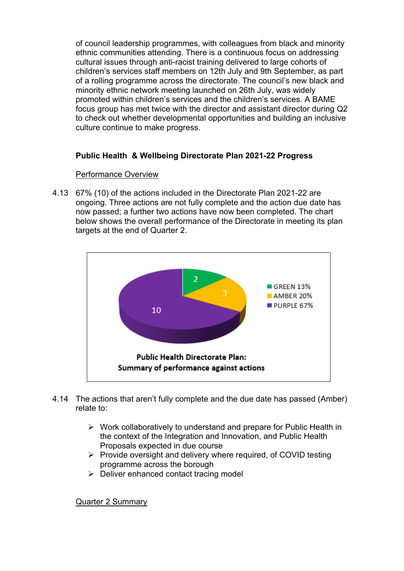of council leadership programmes, with colleagues from black and minority ethnic communities attending. There is a continuous focus on addressing cultural issues through anti-racist training delivered to large cohorts of children's services staff members on 12th July and 9th September, as part of a rolling programme across the directorate. The council's new black and minority ethnic network meeting launched on 26th July, was widely promoted within children's services and the children's services. A BAME focus group has met twice with the director and assistant director during Q2 to check out whether developmental opportunities and building an inclusive culture continue to make progress.

# **Public Health & Wellbeing Directorate Plan 2021-22 Progress**

# Performance Overview

4.13 67% (10) of the actions included in the Directorate Plan 2021-22 are ongoing. Three actions are not fully complete and the action due date has now passed; a further two actions have now been completed. The chart below shows the overall performance of the Directorate in meeting its plan targets at the end of Quarter 2.



- 4.14 The actions that aren't fully complete and the due date has passed (Amber) relate to:
	- $\triangleright$  Work collaboratively to understand and prepare for Public Health in the context of the Integration and Innovation, and Public Health Proposals expected in due course
	- $\triangleright$  Provide oversight and delivery where required, of COVID testing programme across the borough
	- $\triangleright$  Deliver enhanced contact tracing model

Quarter 2 Summary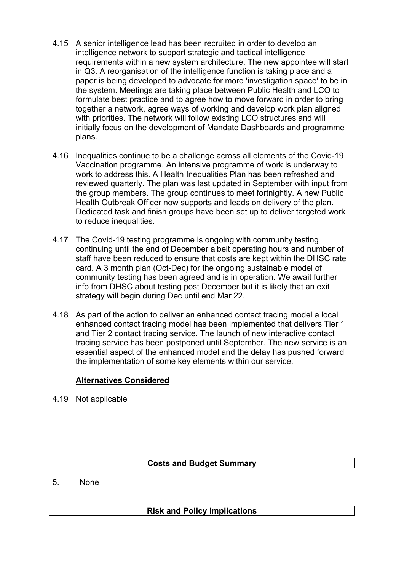- 4.15 A senior intelligence lead has been recruited in order to develop an intelligence network to support strategic and tactical intelligence requirements within a new system architecture. The new appointee will start in Q3. A reorganisation of the intelligence function is taking place and a paper is being developed to advocate for more 'investigation space' to be in the system. Meetings are taking place between Public Health and LCO to formulate best practice and to agree how to move forward in order to bring together a network, agree ways of working and develop work plan aligned with priorities. The network will follow existing LCO structures and will initially focus on the development of Mandate Dashboards and programme plans.
- 4.16 Inequalities continue to be a challenge across all elements of the Covid-19 Vaccination programme. An intensive programme of work is underway to work to address this. A Health Inequalities Plan has been refreshed and reviewed quarterly. The plan was last updated in September with input from the group members. The group continues to meet fortnightly. A new Public Health Outbreak Officer now supports and leads on delivery of the plan. Dedicated task and finish groups have been set up to deliver targeted work to reduce inequalities.
- 4.17 The Covid-19 testing programme is ongoing with community testing continuing until the end of December albeit operating hours and number of staff have been reduced to ensure that costs are kept within the DHSC rate card. A 3 month plan (Oct-Dec) for the ongoing sustainable model of community testing has been agreed and is in operation. We await further info from DHSC about testing post December but it is likely that an exit strategy will begin during Dec until end Mar 22.
- 4.18 As part of the action to deliver an enhanced contact tracing model a local enhanced contact tracing model has been implemented that delivers Tier 1 and Tier 2 contact tracing service. The launch of new interactive contact tracing service has been postponed until September. The new service is an essential aspect of the enhanced model and the delay has pushed forward the implementation of some key elements within our service.

# **Alternatives Considered**

4.19 Not applicable

# **Costs and Budget Summary**

5. None